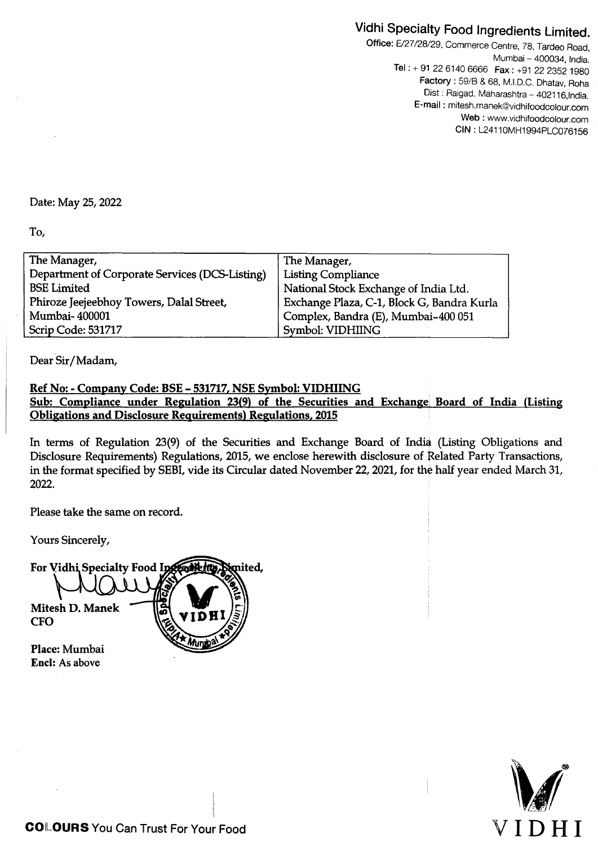## Vidhi Specialty Food Ingredients Limited.

Office: E/27/28/29. Commerce Centre, 78, Tardeo Road, Mumbai - 400034, India. Tel:+ 91 22 6140 6666 Fax: +91 22 2352 1980 Factory: 59/B & 68, M.1.0.C. Dhatav, Roha Dist : Raigad, Maharashtra - 402116, India. E-mail : mitesh.manek@vidhifoodcolour.com Web: www.vidhifoodcolour.com CIN: L24110MH1994PLC076156

## Date: May 25, 2022

To,

| The Manager,                                   | The Manager,                               |
|------------------------------------------------|--------------------------------------------|
| Department of Corporate Services (DCS-Listing) | <b>Listing Compliance</b>                  |
| <b>BSE Limited</b>                             | National Stock Exchange of India Ltd.      |
| Phiroze Jeejeebhoy Towers, Dalal Street,       | Exchange Plaza, C-1, Block G, Bandra Kurla |
| Mumbai-400001                                  | Complex, Bandra (E), Mumbai-400 051        |
| Scrip Code: 531717                             | Symbol: VIDHIING                           |

Dear Sir/Madam,

## Ref No: - Company Code: BSE - 531717, NSE Symbol: VIDHIING Sub: Compliance under Regulation 23(9) of the Securities and Exchange Board of India (Listing Obligations and Disclosure Requirements) Regulations, 2015

In terms of Regulation 23(9) of the Securities and Exchange Board of India (Listing Obligations and Disclosure Requirements) Regulations, 2015, we enclose herewith disclosure of Related Party Transactions, in the format specified by SEBI, vide its Circular dated November 22, 2021, for the half year ended March 31, 2022. .

Please take the same on record.

Yours Sincerely,



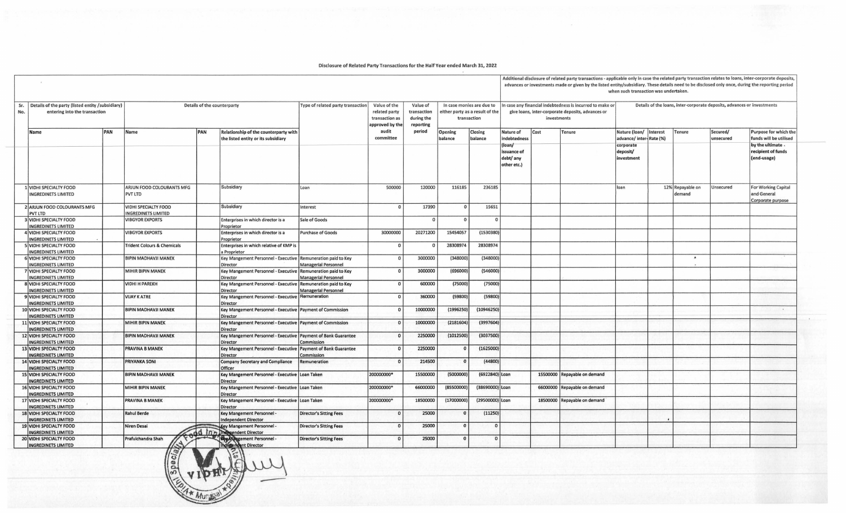Disclosure of Related Party Transactions for the Half Year ended March 31, 2022

 $\overline{a}$ 

|            |                                                                                    |     |                                                           |     |                                                                                 |                                                                |                                                                                          |                                                              |                                                                             |                           |                                                   | Additional disclosure of related party transactions - applicable only in case the related party transaction relates to loans, inter-corporate deposits,<br>advances or investments made or given by the listed entity/subsidiary. These details need to be disclosed only once, during the reporting period<br>when such transaction was undertaken. |                                                                                                                |                                                                         |  |                            |                       |                                                                |  |  |
|------------|------------------------------------------------------------------------------------|-----|-----------------------------------------------------------|-----|---------------------------------------------------------------------------------|----------------------------------------------------------------|------------------------------------------------------------------------------------------|--------------------------------------------------------------|-----------------------------------------------------------------------------|---------------------------|---------------------------------------------------|------------------------------------------------------------------------------------------------------------------------------------------------------------------------------------------------------------------------------------------------------------------------------------------------------------------------------------------------------|----------------------------------------------------------------------------------------------------------------|-------------------------------------------------------------------------|--|----------------------------|-----------------------|----------------------------------------------------------------|--|--|
| Sr.<br>No. | Details of the party (listed entity /subsidiary)<br>entering into the transaction  |     |                                                           |     | Details of the counterparty                                                     | Type of related party transaction                              | Value of the<br>related party<br>transaction as<br>approved by the<br>audit<br>committee | Value of<br>transaction<br>during the<br>reporting<br>period | In case monies are due to<br>either party as a result of the<br>transaction |                           |                                                   | investments                                                                                                                                                                                                                                                                                                                                          | In case any financial indebtedness is incurred to make or<br>give loans, inter-corporate deposits, advances or | Details of the loans, inter-corporate deposits, advances or investments |  |                            |                       |                                                                |  |  |
|            | Name                                                                               | PAN | Name                                                      | PAN | Relationship of the counterparty with<br>the listed entity or its subsidiary    |                                                                |                                                                                          |                                                              | Opening<br>balance                                                          | <b>Closing</b><br>balance | Nature of<br>indebtedness                         | Cost                                                                                                                                                                                                                                                                                                                                                 | <b>Tenure</b>                                                                                                  | Nature (loan/<br>Interest<br>advance/inter-Rate (%)                     |  | Tenure                     | Secured/<br>unsecured | Purpose for which the<br>funds will be utilised                |  |  |
|            |                                                                                    |     |                                                           |     |                                                                                 |                                                                |                                                                                          |                                                              |                                                                             |                           | (loan/<br>issuance of<br>debt/ any<br>other etc.) |                                                                                                                                                                                                                                                                                                                                                      |                                                                                                                | corporate<br>deposit/<br>investment                                     |  |                            |                       | by the ultimate<br>recipient of funds<br>(end-usage)           |  |  |
|            | LUIDHI SPECIALTY FOOD<br><b>INGREDINETS LIMITED</b>                                |     | ARJUN FOOD COLOURANTS MFG<br>PVT LTD                      |     | Subsidiary                                                                      | Loan                                                           | 500000                                                                                   | 120000                                                       | 116185                                                                      | 236185                    |                                                   |                                                                                                                                                                                                                                                                                                                                                      |                                                                                                                | loan                                                                    |  | 12% Repayable on<br>demand | Unsecured             | <b>For Working Capital</b><br>and General<br>Corporate purpose |  |  |
|            | <b>2 ARJUN FOOD COLOURANTS MFG</b><br><b>PVT LTD</b>                               |     | <b>VIDHI SPECIALTY FOOD</b><br><b>INGREDINETS LIMITED</b> |     | Subsidiary                                                                      | Interest                                                       |                                                                                          | 17390                                                        | $\Omega$                                                                    | 15651                     |                                                   |                                                                                                                                                                                                                                                                                                                                                      |                                                                                                                |                                                                         |  |                            |                       |                                                                |  |  |
|            | <b>VIDHI SPECIALTY FOOD</b><br><b>INGREDINETS LIMITED</b>                          |     | <b>VIBGYOR EXPORTS</b>                                    |     | Enterprises in which director is a<br>Proprietor                                | Sale of Goods                                                  |                                                                                          | $\Omega$                                                     | $\Omega$                                                                    | $\Omega$                  |                                                   |                                                                                                                                                                                                                                                                                                                                                      |                                                                                                                |                                                                         |  |                            |                       |                                                                |  |  |
|            | 4 VIDHI SPECIALTY FOOD<br><b>INGREDINETS LIMITED</b>                               |     | <b>VIBGYOR EXPORTS</b>                                    |     | Enterprises in which director is a                                              | <b>Purchase of Goods</b>                                       | 30000000                                                                                 | 20271200                                                     | 15454057                                                                    | (1530380)                 |                                                   |                                                                                                                                                                                                                                                                                                                                                      |                                                                                                                |                                                                         |  |                            |                       |                                                                |  |  |
|            | 5 VIDHI SPECIALTY FOOD                                                             |     | <b>Trident Colours &amp; Chemicals</b>                    |     | Proprietor<br>Enterprises in which relative of KMP is                           |                                                                | $\mathbf{0}$                                                                             | $\Omega$                                                     | 28308974                                                                    | 28308974                  |                                                   |                                                                                                                                                                                                                                                                                                                                                      |                                                                                                                |                                                                         |  |                            |                       |                                                                |  |  |
|            | <b>INGREDINETS LIMITED</b><br>6 VIDHI SPECIALTY FOOD                               |     | <b>BIPIN MADHAVJI MANEK</b>                               |     | a Proprietor<br>Key Mangement Personnel - Executive   Remuneration paid to Key  |                                                                | $\Omega$                                                                                 | 3000000                                                      | (348000)                                                                    | (348000)                  |                                                   |                                                                                                                                                                                                                                                                                                                                                      |                                                                                                                |                                                                         |  | $\bullet$                  |                       |                                                                |  |  |
|            | <b>NGREDINETS LIMITED</b><br>7 VIDHI SPECIALTY FOOD                                |     | <b>MIHIR BIPIN MANEK</b>                                  |     | <b>Director</b><br>Key Mangement Personnel - Executive Remuneration paid to Key | <b>Managerial Personnel</b>                                    | $\Omega$                                                                                 | 3000000                                                      | (696000)                                                                    | (546000)                  |                                                   |                                                                                                                                                                                                                                                                                                                                                      |                                                                                                                |                                                                         |  |                            |                       |                                                                |  |  |
|            | <b>INGREDINETS LIMITED</b><br>8 VIDHI SPECIALTY FOOD                               |     | <b>VIDHI H PAREKH</b>                                     |     | Director<br>Key Mangement Personnel - Executive                                 | <b>Managerial Personnel</b><br><b>Remuneration paid to Key</b> | $\mathbf 0$                                                                              | 600000                                                       | (75000)                                                                     | (75000)                   |                                                   |                                                                                                                                                                                                                                                                                                                                                      |                                                                                                                |                                                                         |  |                            |                       |                                                                |  |  |
|            | <b>INGREDINETS LIMITED</b><br>9 VIDHI SPECIALTY FOOD                               |     | <b>VIJAY K ATRE</b>                                       |     | Director<br>Key Mangement Personnel - Executive   Remuneration                  | <b>Managerial Personnel</b>                                    | $\mathbf 0$                                                                              | 360000                                                       | (59800)                                                                     | (59800)                   |                                                   |                                                                                                                                                                                                                                                                                                                                                      |                                                                                                                |                                                                         |  |                            |                       |                                                                |  |  |
|            | <b>INGREDINETS LIMITED</b><br>10 VIDHI SPECIALTY FOOD                              |     | <b>BIPIN MADHAVJI MANEK</b>                               |     | Director<br>Key Mangement Personnel - Executive Payment of Commission           |                                                                |                                                                                          | 10000000                                                     | (1996250)                                                                   | (10946250)                |                                                   |                                                                                                                                                                                                                                                                                                                                                      |                                                                                                                |                                                                         |  |                            |                       | $\cdot$                                                        |  |  |
|            | <b>INGREDINETS LIMITED</b><br>11 VIDHI SPECIALTY FOOD                              |     | <b>MIHIR BIPIN MANEK</b>                                  |     | Director<br>Key Mangement Personnel - Executive   Payment of Commission         |                                                                |                                                                                          | 10000000                                                     | (2181604)                                                                   | (3997604)                 |                                                   |                                                                                                                                                                                                                                                                                                                                                      |                                                                                                                |                                                                         |  |                            |                       |                                                                |  |  |
|            | <b>INGREDINETS LIMITED</b>                                                         |     |                                                           |     | Director                                                                        |                                                                | $\Omega$                                                                                 | 2250000                                                      | (1012500)                                                                   |                           |                                                   |                                                                                                                                                                                                                                                                                                                                                      |                                                                                                                |                                                                         |  |                            |                       |                                                                |  |  |
|            | 12 VIDHI SPECIALTY FOOD<br><b>NGREDINETS LIMITED</b>                               |     | <b>BIPIN MADHAVJI MANEK</b>                               |     | Key Mangement Personnel - Executive Payment of Bank Guarantee<br>Director       | Commission                                                     |                                                                                          |                                                              |                                                                             | (3037500)                 |                                                   |                                                                                                                                                                                                                                                                                                                                                      |                                                                                                                |                                                                         |  |                            |                       |                                                                |  |  |
|            | 13 VIDHI SPECIALTY FOOD<br><b>NGREDINETS LIMITED</b>                               |     | <b>PRAVINA B MANEK</b>                                    |     | Key Mangement Personnel - Executive<br><b>Director</b>                          | <b>Payment of Bank Guarantee</b><br>Commission                 | $\Omega$                                                                                 | 2250000                                                      |                                                                             | (1625000)                 |                                                   |                                                                                                                                                                                                                                                                                                                                                      |                                                                                                                |                                                                         |  |                            |                       |                                                                |  |  |
|            | 14 VIDHI SPECIALTY FOOD<br><b>INGREDINETS LIMITED</b>                              |     | <b>PRIYANKA SONI</b>                                      |     | <b>Company Secretary and Compliance</b><br>Officer                              | Remuneration                                                   |                                                                                          | 214500                                                       |                                                                             | (44800)                   |                                                   |                                                                                                                                                                                                                                                                                                                                                      |                                                                                                                |                                                                         |  |                            |                       |                                                                |  |  |
|            | 15 VIDHI SPECIALTY FOOD<br><b>INGREDINETS LIMITED</b>                              |     | <b>BIPIN MADHAVJI MANEK</b>                               |     | Key Mangement Personnel - Executive   Loan Taken<br><b>Director</b>             |                                                                | 200000000*                                                                               | 15500000                                                     | (5000000)                                                                   | (6922840) Loan            |                                                   |                                                                                                                                                                                                                                                                                                                                                      | 15500000 Repayable on demand                                                                                   |                                                                         |  |                            |                       |                                                                |  |  |
|            | <b>16 VIDHI SPECIALTY FOOD</b><br><b>INGREDINETS LIMITED</b>                       |     | <b>MIHIR BIPIN MANEK</b>                                  |     | Key Mangement Personnel - Executive Loan Taken<br>Director                      |                                                                | 200000000*                                                                               | 66000000                                                     | (85500000)                                                                  | (38690000) Loan           |                                                   |                                                                                                                                                                                                                                                                                                                                                      | 66000000 Repayable on demand                                                                                   |                                                                         |  |                            |                       |                                                                |  |  |
|            | 17 VIDHI SPECIALTY FOOD                                                            |     | <b>PRAVINA B MANEK</b>                                    |     | Key Mangement Personnel - Executive Loan Taken                                  |                                                                | 200000000*                                                                               | 18500000                                                     | (17000000)                                                                  | (29500000) Loan           |                                                   |                                                                                                                                                                                                                                                                                                                                                      | 18500000 Repayable on demand                                                                                   |                                                                         |  |                            |                       |                                                                |  |  |
|            | <b>INGREDINETS LIMITED</b><br>18 VIDHI SPECIALTY FOOD                              |     | <b>Rahul Berde</b>                                        |     | Director<br><b>Key Mangement Personnel -</b>                                    | <b>Director's Sitting Fees</b>                                 | $\Omega$                                                                                 | 25000                                                        | $\mathbf{0}$                                                                | (11250)                   |                                                   |                                                                                                                                                                                                                                                                                                                                                      |                                                                                                                |                                                                         |  |                            |                       |                                                                |  |  |
|            | <b>NGREDINETS LIMITED</b><br>19 VIDHI SPECIALTY FOOD                               |     | Niren Desai                                               |     | <b>Independent Director</b><br>Key Mangement Personnel -                        | <b>Director's Sitting Fees</b>                                 | $\Omega$                                                                                 | 25000                                                        | $\Omega$                                                                    | $\Omega$                  |                                                   |                                                                                                                                                                                                                                                                                                                                                      |                                                                                                                |                                                                         |  |                            |                       |                                                                |  |  |
|            | <b>NGREDINETS LIMITED</b><br>20 VIDHI SPECIALTY FOOD<br><b>INGREDINETS LIMITED</b> |     | Prafulchandra Shah                                        |     | <b>Independent Director</b><br>Rey Mangement Personnel<br>Independent Director  | <b>Director's Sitting Fees</b>                                 | $\Omega$                                                                                 | 25000                                                        | $\Omega$                                                                    |                           |                                                   |                                                                                                                                                                                                                                                                                                                                                      |                                                                                                                |                                                                         |  |                            |                       |                                                                |  |  |

 $\sim$  $\mathbb{Z}$  $\frac{6}{3}$  $\frac{1}{\sqrt{2}}$  v IDHI  $Mu$  $\frac{1}{2}$